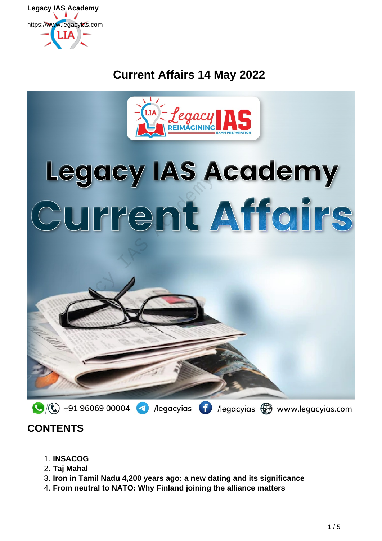

# **Current Affairs 14 May 2022**



# Legacy IAS Academy<br>Current Affairs



## **CONTENTS**

- 1. **INSACOG**
- 2. **Taj Mahal**
- 3. **Iron in Tamil Nadu 4,200 years ago: a new dating and its significance**
- 4. **From neutral to NATO: Why Finland joining the alliance matters**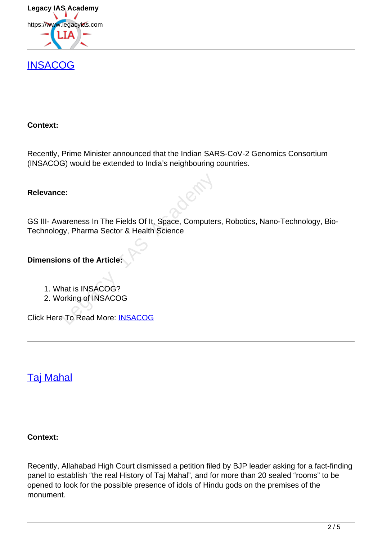

## **[INSACOG](https://www.legacyias.com/indian-sars-cov-2-genomics-consortium/)**

#### **Context:**

Recently, Prime Minister announced that the Indian SARS-CoV-2 Genomics Consortium (INSACOG) would be extended to India's neighbouring countries.

#### **Relevance:**

GS III- Awareness In The Fields Of It, Space, Computers, Robotics, Nano-Technology, Bio-Technology, Pharma Sector & Health Science e:<br>
vareness In The Fields Of It, Space, Computers<br>
yy, Pharma Sector & Health Science<br>
nns of the Article:<br>
Ant is INSACOG?<br>
orking of INSACOG<br>
To Read More: <u>INSACOG</u>

#### **Dimensions of the Article:**

- 1. What is INSACOG?
- 2. Working of INSACOG

Click Here To Read More: INSACOG

## Taj Mahal

#### **Context:**

Recently, Allahabad High Court dismissed a petition filed by BJP leader asking for a fact-finding panel to establish "the real History of Taj Mahal", and for more than 20 sealed "rooms" to be opened to look for the possible presence of idols of Hindu gods on the premises of the monument.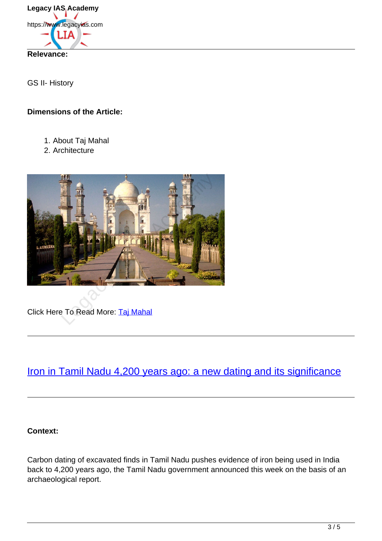

GS II- History

#### **Dimensions of the Article:**

- 1. About Taj Mahal
- 2. Architecture



Click Here To Read More: Taj Mahal

## Iron in Tamil Nadu 4,200 years ago: a new dating and its significance

#### **Context:**

Carbon dating of excavated finds in Tamil Nadu pushes evidence of iron being used in India back to 4,200 years ago, the Tamil Nadu government announced this week on the basis of an archaeological report.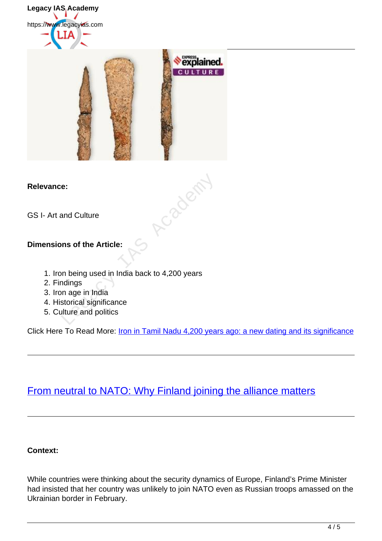Legacy IAS Academy https://www.legacyias.com



#### **Relevance:**

GS I- Art and Culture

#### **Dimensions of the Article:**

- 1. Iron being used in India back to 4,200 years
- 2. Findings
- 3. Iron age in India
- 4. Historical significance
- 5. Culture and politics

Click Here To Read More: *Iron in Tamil Nadu 4,200 years ago: a new dating and its significance* 

R-2024F

## From neutral to NATO: Why Finland joining the alliance matters

#### **Context:**

While countries were thinking about the security dynamics of Europe, Finland's Prime Minister had insisted that her country was unlikely to join NATO even as Russian troops amassed on the Ukrainian border in February.